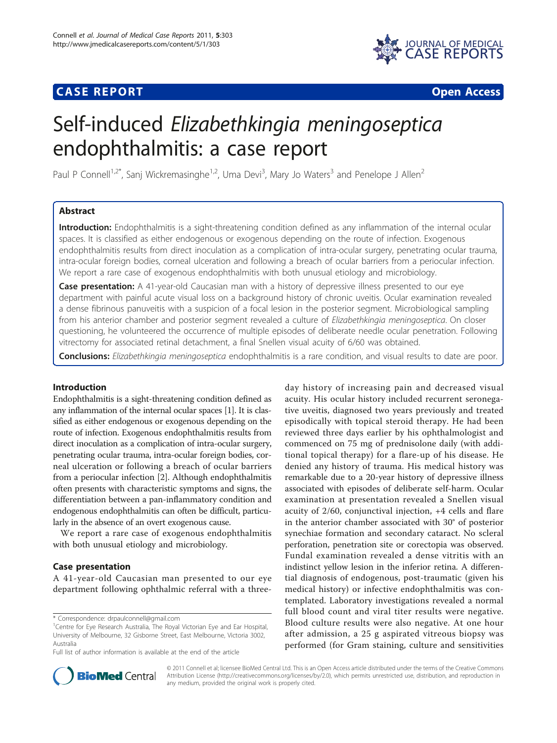# **CASE REPORT CASE REPORT CASE ACCESS**



# Self-induced Elizabethkingia meningoseptica endophthalmitis: a case report

Paul P Connell<sup>1,2\*</sup>, Sanj Wickremasinghe<sup>1,2</sup>, Uma Devi<sup>3</sup>, Mary Jo Waters<sup>3</sup> and Penelope J Allen<sup>2</sup>

# Abstract

Introduction: Endophthalmitis is a sight-threatening condition defined as any inflammation of the internal ocular spaces. It is classified as either endogenous or exogenous depending on the route of infection. Exogenous endophthalmitis results from direct inoculation as a complication of intra-ocular surgery, penetrating ocular trauma, intra-ocular foreign bodies, corneal ulceration and following a breach of ocular barriers from a periocular infection. We report a rare case of exogenous endophthalmitis with both unusual etiology and microbiology.

Case presentation: A 41-year-old Caucasian man with a history of depressive illness presented to our eye department with painful acute visual loss on a background history of chronic uveitis. Ocular examination revealed a dense fibrinous panuveitis with a suspicion of a focal lesion in the posterior segment. Microbiological sampling from his anterior chamber and posterior segment revealed a culture of Elizabethkingia meningoseptica. On closer questioning, he volunteered the occurrence of multiple episodes of deliberate needle ocular penetration. Following vitrectomy for associated retinal detachment, a final Snellen visual acuity of 6/60 was obtained.

Conclusions: Elizabethkingia meningoseptica endophthalmitis is a rare condition, and visual results to date are poor.

### Introduction

Endophthalmitis is a sight-threatening condition defined as any inflammation of the internal ocular spaces [\[1\]](#page-2-0). It is classified as either endogenous or exogenous depending on the route of infection. Exogenous endophthalmitis results from direct inoculation as a complication of intra-ocular surgery, penetrating ocular trauma, intra-ocular foreign bodies, corneal ulceration or following a breach of ocular barriers from a periocular infection [\[2](#page-2-0)]. Although endophthalmitis often presents with characteristic symptoms and signs, the differentiation between a pan-inflammatory condition and endogenous endophthalmitis can often be difficult, particularly in the absence of an overt exogenous cause.

We report a rare case of exogenous endophthalmitis with both unusual etiology and microbiology.

# Case presentation

A 41-year-old Caucasian man presented to our eye department following ophthalmic referral with a three-

\* Correspondence: [drpaulconnell@gmail.com](mailto:drpaulconnell@gmail.com)

Full list of author information is available at the end of the article





© 2011 Connell et al; licensee BioMed Central Ltd. This is an Open Access article distributed under the terms of the Creative Commons Attribution License [\(http://creativecommons.org/licenses/by/2.0](http://creativecommons.org/licenses/by/2.0)), which permits unrestricted use, distribution, and reproduction in any medium, provided the original work is properly cited.

<sup>&</sup>lt;sup>1</sup> Centre for Eye Research Australia, The Royal Victorian Eye and Ear Hospital, University of Melbourne, 32 Gisborne Street, East Melbourne, Victoria 3002, Australia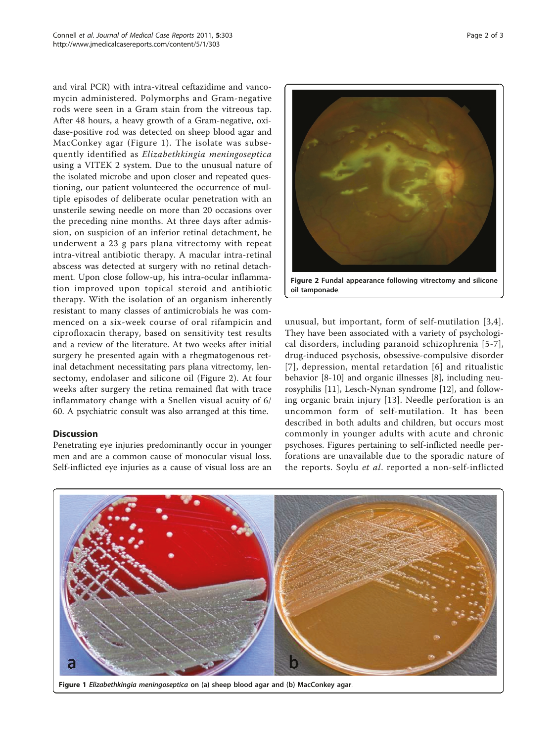and viral PCR) with intra-vitreal ceftazidime and vancomycin administered. Polymorphs and Gram-negative rods were seen in a Gram stain from the vitreous tap. After 48 hours, a heavy growth of a Gram-negative, oxidase-positive rod was detected on sheep blood agar and MacConkey agar (Figure 1). The isolate was subsequently identified as Elizabethkingia meningoseptica using a VITEK 2 system. Due to the unusual nature of the isolated microbe and upon closer and repeated questioning, our patient volunteered the occurrence of multiple episodes of deliberate ocular penetration with an unsterile sewing needle on more than 20 occasions over the preceding nine months. At three days after admission, on suspicion of an inferior retinal detachment, he underwent a 23 g pars plana vitrectomy with repeat intra-vitreal antibiotic therapy. A macular intra-retinal abscess was detected at surgery with no retinal detachment. Upon close follow-up, his intra-ocular inflammation improved upon topical steroid and antibiotic therapy. With the isolation of an organism inherently resistant to many classes of antimicrobials he was commenced on a six-week course of oral rifampicin and ciprofloxacin therapy, based on sensitivity test results and a review of the literature. At two weeks after initial surgery he presented again with a rhegmatogenous retinal detachment necessitating pars plana vitrectomy, lensectomy, endolaser and silicone oil (Figure 2). At four weeks after surgery the retina remained flat with trace inflammatory change with a Snellen visual acuity of 6/ 60. A psychiatric consult was also arranged at this time.

# **Discussion**

Penetrating eye injuries predominantly occur in younger men and are a common cause of monocular visual loss. Self-inflicted eye injuries as a cause of visual loss are an



Figure 2 Fundal appearance following vitrectomy and silicone oil tamponade.

unusual, but important, form of self-mutilation [[3](#page-2-0),[4](#page-2-0)]. They have been associated with a variety of psychological disorders, including paranoid schizophrenia [[5-7](#page-2-0)], drug-induced psychosis, obsessive-compulsive disorder [[7](#page-2-0)], depression, mental retardation [[6](#page-2-0)] and ritualistic behavior [[8-10](#page-2-0)] and organic illnesses [\[8](#page-2-0)], including neurosyphilis [\[11](#page-2-0)], Lesch-Nynan syndrome [\[12\]](#page-2-0), and following organic brain injury [\[13\]](#page-2-0). Needle perforation is an uncommon form of self-mutilation. It has been described in both adults and children, but occurs most commonly in younger adults with acute and chronic psychoses. Figures pertaining to self-inflicted needle perforations are unavailable due to the sporadic nature of the reports. Soylu et al. reported a non-self-inflicted



Figure 1 Elizabethkingia meningoseptica on (a) sheep blood agar and (b) MacConkey agar